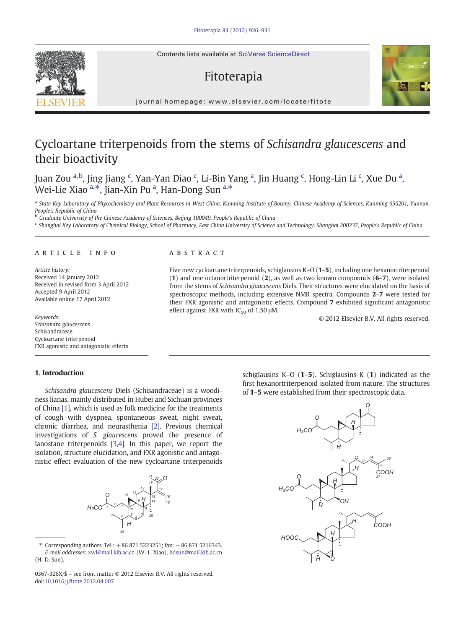Contents lists available at SciVerse ScienceDirect

# Fitoterapia



journal homepage: www.elsevier.com/locate/fitotelevier.com/locate/fitotelevier.com/locate/fitotelevier.com/locate/fitotelevier.com/locate/fitotelevier.com/locate/fitotelevier.com/locate/fitotelevier.com/locate/fitotelevie

# Cycloartane triterpenoids from the stems of Schisandra glaucescens and their bioactivity

Juan Zou <sup>a,b</sup>, Jing Jiang <sup>c</sup>, Yan-Yan Diao <sup>c</sup>, Li-Bin Yang <sup>a</sup>, Jin Huang <sup>c</sup>, Hong-Lin Li <sup>c</sup>, Xue Du <sup>a</sup>, Wei-Lie Xiao <sup>a,\*</sup>, Jian-Xin Pu <sup>a</sup>, Han-Dong Sun <sup>a,\*</sup>

a State Key Laboratory of Phytochemistry and Plant Resources in West China, Kunming Institute of Botany, Chinese Academy of Sciences, Kunming 650201, Yunnan, People's Republic of China

**b** Graduate University of the Chinese Academy of Sciences, Beijing 100049, People's Republic of China

<sup>c</sup> Shanghai Key Laboratory of Chemical Biology, School of Pharmacy, East China University of Science and Technology, Shanghai 200237, People's Republic of China

#### article info abstract

Article history: Received 14 January 2012 Received in revised form 3 April 2012 Accepted 9 April 2012 Available online 17 April 2012

Schisandra glaucescens Schisandraceae Cycloartane triterpenoid FXR agonistic and antagonistic effects

# 1. Introduction

Schisandra glaucescens Diels (Schisandraceae) is a woodiness lianas, mainly distributed in Hubei and Sichuan provinces of China [\[1\],](#page-5-0) which is used as folk medicine for the treatments of cough with dyspnea, spontaneous sweat, night sweat, chronic diarrhea, and neurasthenia [\[2\].](#page-5-0) Previous chemical investigations of S. glaucescens proved the presence of lanostane triterpenoids [\[3,4\].](#page-5-0) In this paper, we report the isolation, structure elucidation, and FXR agonistic and antagonistic effect evaluation of the new cycloartane triterpenoids



Corresponding authors. Tel.:  $+868715223251$ ; fax:  $+868715216343$ . E-mail addresses: [xwl@mail.kib.ac.cn](mailto:xwl@mail.kib.ac.cn) (W.-L. Xiao), [hdsun@mail.kib.ac.cn](mailto:hdsun@mail.kib.ac.cn)  $(H - D)$ . Sun).

0367-326X/\$ – see front matter © 2012 Elsevier B.V. All rights reserved. doi:10.1016/j.fi[tote.2012.04.007](http://dx.doi.org/10.1016/j.fitote.2012.04.007)

Five new cycloartane triterpenoids, schiglausins K–O (1–5), including one hexanortriterpenoid (1) and one octanortriterpenoid (2), as well as two known compounds (6–7), were isolated from the stems of Schisandra glaucescens Diels. Their structures were elucidated on the basis of spectroscopic methods, including extensive NMR spectra. Compounds 2–7 were tested for their FXR agonistic and antagonistic effects. Compound 7 exhibited significant antagonistic effect against FXR with  $IC_{50}$  of 1.50  $\mu$ M.

Keywords: © 2012 Elsevier B.V. All rights reserved.

schiglausins  $K-O$  (1–5). Schiglausins  $K(1)$  indicated as the first hexanortriterpenoid isolated from nature. The structures of 1–5 were established from their spectroscopic data.

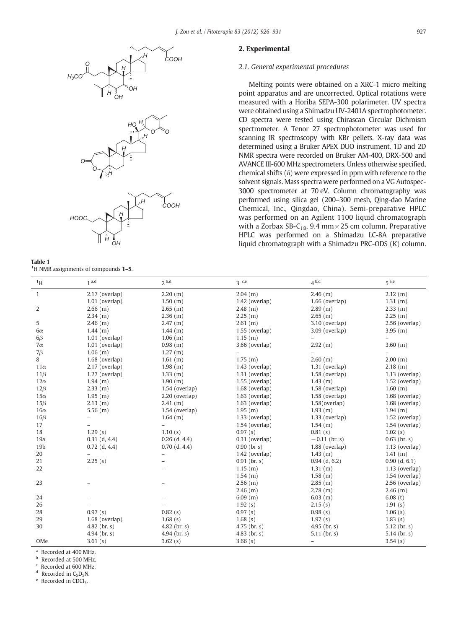<span id="page-1-0"></span>





| $\sim$<br>. .<br>. . |  |
|----------------------|--|

<sup>1</sup>H NMR assignments of compounds **1-5**.

# 2. Experimental

# 2.1. General experimental procedures

Melting points were obtained on a XRC-1 micro melting point apparatus and are uncorrected. Optical rotations were measured with a Horiba SEPA-300 polarimeter. UV spectra were obtained using a Shimadzu UV-2401A spectrophotometer. CD spectra were tested using Chirascan Circular Dichroism spectrometer. A Tenor 27 spectrophotometer was used for scanning IR spectroscopy with KBr pellets. X-ray data was determined using a Bruker APEX DUO instrument. 1D and 2D NMR spectra were recorded on Bruker AM-400, DRX-500 and AVANCE III-600 MHz spectrometers. Unless otherwise specified, chemical shifts  $(\delta)$  were expressed in ppm with reference to the solvent signals. Mass spectra were performed on a VG Autospec-3000 spectrometer at 70 eV. Column chromatography was performed using silica gel (200–300 mesh, Qing-dao Marine Chemical, Inc., Qingdao, China). Semi-preparative HPLC was performed on an Agilent 1100 liquid chromatograph with a Zorbax SB-C<sub>18</sub>, 9.4 mm  $\times$  25 cm column. Preparative HPLC was performed on a Shimadzu LC-8A preparative liquid chromatograph with a Shimadzu PRC-ODS (K) column.

| $\rm ^1H$       | 1 <sup>a,d</sup> | 2 <sup>b,d</sup>         | $3$ c,e               | 4 <sup>b,d</sup>         | $5^{a,e}$             |
|-----------------|------------------|--------------------------|-----------------------|--------------------------|-----------------------|
| $\mathbf{1}$    | 2.17 (overlap)   | 2.20(m)                  | $2.04$ (m)            | $2.46$ (m)               | $2.12$ (m)            |
|                 | $1.01$ (overlap) | 1.50(m)                  | $1.42$ (overlap)      | $1.66$ (overlap)         | 1.31 (m)              |
| 2               | $2.66$ (m)       | $2.65$ (m)               | $2.48$ (m)            | $2.89$ (m)               | $2.33$ (m)            |
|                 | $2.34$ (m)       | $2.36$ (m)               | $2.25$ (m)            | $2.65$ (m)               | $2.25$ (m)            |
| 5               | $2.46$ (m)       | $2.47$ (m)               | $2.61$ (m)            | 3.10 (overlap)           | 2.56 (overlap)        |
| $6\alpha$       | $1.44$ (m)       | $1.44$ (m)               | $1.55$ (overlap)      | 3.09 (overlap)           | $3.95$ (m)            |
| $6\beta$        | $1.01$ (overlap) | $1.06$ (m)               | 1.15(m)               |                          |                       |
| $7\alpha$       | $1.01$ (overlap) | $0.98$ (m)               | 3.66 (overlap)        | 2.92 (m)                 | $3.60$ (m)            |
| $7\beta$        | $1.06$ (m)       | 1.27(m)                  |                       |                          |                       |
| 8               | 1.68 (overlap)   | 1.61(m)                  | 1.75(m)               | $2.60$ (m)               | 2.00 (m)              |
| $11\alpha$      | 2.17 (overlap)   | 1.98(m)                  | $1.43$ (overlap)      | $1.31$ (overlap)         | $2.18$ (m)            |
| $11\beta$       | $1.27$ (overlap) | $1.33$ (m)               | $1.31$ (overlap)      | $1.58$ (overlap)         | $1.13$ (overlap)      |
| $12\alpha$      | 1.94 (m)         | 1.90 (m)                 | $1.55$ (overlap)      | $1.43$ (m)               | $1.52$ (overlap)      |
| $12\beta$       | $2.33$ (m)       | $1.54$ (overlap)         | 1.68 (overlap)        | $1.58$ (overlap)         | 1.60 (m)              |
| $15\alpha$      | 1.95(m)          | $2.20$ (overlap)         | $1.63$ (overlap)      | $1.58$ (overlap)         | 1.68 (overlap)        |
| $15\beta$       | $2.13$ (m)       | 2.41(m)                  | $1.63$ (overlap)      | $1.58$ (overlap)         | 1.68 (overlap)        |
| $16\alpha$      | 5.56(m)          | $1.54$ (overlap)         | $1.95$ (m)            | $1.93$ (m)               | 1.94 (m)              |
| $16\beta$       |                  | $1.64$ (m)               | $1.33$ (overlap)      | $1.33$ (overlap)         | $1.52$ (overlap)      |
| 17              |                  | $\overline{\phantom{a}}$ | $1.54$ (overlap)      | 1.54(m)                  | $1.54$ (overlap)      |
| 18              | 1.29(s)          | 1.10(s)                  | 0.97(s)               | 0.81(s)                  | 1.02(s)               |
| 19a             | $0.31$ (d, 4.4)  | $0.26$ (d, 4.4)          | $0.31$ (overlap)      | $-0.11$ (br. s)          | $0.63$ (br. s)        |
| 19 <sub>b</sub> | $0.72$ (d, 4.4)  | $0.70$ (d, 4.4)          | $0.90$ (br s)         | 1.88 (overlap)           | $1.13$ (overlap)      |
| 20              |                  |                          | $1.42$ (overlap)      | $1.43$ (m)               | 1.41(m)               |
| 21              | 2.25(s)          |                          | $0.91$ (br. s)        | $0.94$ (d, 6.2)          | $0.90$ (d, 6.1)       |
| 22              |                  |                          | 1.15(m)               | 1.31 (m)                 | $1.13$ (overlap)      |
|                 |                  |                          | $1.54$ (m)            | $1.58$ (m)               | $1.54$ (overlap)      |
| 23              |                  |                          | $2.56$ (m)            | 2.85(m)                  | 2.56 (overlap)        |
|                 |                  |                          | $2.46$ (m)            | $2.78$ (m)               | $2.46$ (m)            |
| 24              |                  |                          | 6.09(m)               | $6.03$ (m)               | 6.08(t)               |
| 26              |                  |                          | 1.92(s)               | 2.15(s)                  | 1.91(s)               |
| 28              | 0.97(s)          | 0.82(s)                  | 0.97(s)               | 0.98(s)                  | 1.06(s)               |
| 29              | $1.68$ (overlap) | 1.68(s)                  | 1.68(s)               | 1.97(s)                  | 1.83(s)               |
| 30              | 4.82 (br. $s$ )  | 4.82 ( $\rm{br. s}$ )    | 4.75 ( $\rm{br. s}$ ) | 4.95 ( $\rm{br. s}$ )    | 5.12 ( $\rm{br. s}$ ) |
|                 | 4.94 (br. $s$ )  | 4.94 (br. $s$ )          | 4.83 ( $br. s$ )      | 5.11 ( $\rm{br. s}$ )    | 5.14 ( $\rm{br. s}$ ) |
| OMe             | 3.61(s)          | 3.62(s)                  | 3.66(s)               | $\overline{\phantom{0}}$ | 3.54(s)               |

<sup>a</sup> Recorded at 400 MHz.

**b** Recorded at 500 MHz.

Recorded at 600 MHz.

<sup>d</sup> Recorded in C<sub>5</sub>D<sub>5</sub>N.<br><sup>e</sup> Recorded in CDCl<sub>3</sub>.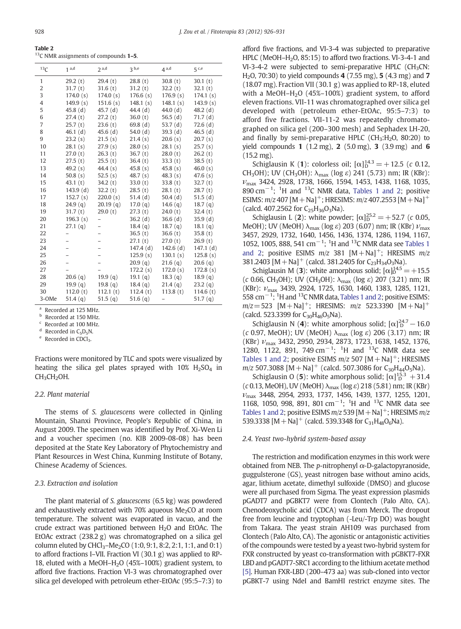<span id="page-2-0"></span>Table 2  $13$ C NMR assignments of compounds  $1-5$ .

| 13 <sub>C</sub> | 1 <sup>a,d</sup> | 2 <sup>a,d</sup>    | 3 <sub>b,e</sub> | 4 <sup>a,d</sup> | 5 <sup>c,e</sup> |
|-----------------|------------------|---------------------|------------------|------------------|------------------|
| 1               | 29.2(t)          | 29.4(t)             | 28.8(t)          | 30.8(t)          | 30.1(t)          |
| $\overline{2}$  | 31.7(t)          | 31.6(t)             | 31.2(t)          | 32.2(t)          | 32.1(t)          |
| 3               | 174.0(s)         | 174.0(s)            | 176.6(s)         | 176.9(s)         | 174.1(s)         |
| 4               | 149.9 $(s)$      | 151.6(s)            | 148.1(s)         | 148.1(s)         | 143.9(s)         |
| 5               | 45.8(d)          | 45.7(d)             | 44.4(d)          | 44.0 $(d)$       | 48.2 $(d)$       |
| 6               | 27.4(t)          | 27.2(t)             | 36.0(t)          | 56.5 $(d)$       | 71.7(d)          |
| 7               | 25.7(t)          | 23.6(t)             | 69.8(d)          | 53.7 $(d)$       | 72.6(d)          |
| 8               | $46.1$ (d)       | 45.6(d)             | 54.0 $(d)$       | 39.3(d)          | 46.5 $(d)$       |
| 9               | 23.2(s)          | 21.5(s)             | 21.4(s)          | 20.6(s)          | 20.7(s)          |
| 10              | 28.1(s)          | 27.9(s)             | 28.0(s)          | 28.1(s)          | 25.7(s)          |
| 11              | 27.0(t)          | 26.3(t)             | 36.7(t)          | 28.0(t)          | 26.2(t)          |
| 12              | 27.5(f)          | 25.5(t)             | 36.4(t)          | 33.3(t)          | 38.5(t)          |
| 13              | 49.2 $(s)$       | 44.4 $(s)$          | 45.8 $(s)$       | 45.8 $(s)$       | 46.0 $(s)$       |
| 14              | 50.8 $(s)$       | 52.5 $(s)$          | 48.7 $(s)$       | 48.3(s)          | 47.6(s)          |
| 15              | 43.1(t)          | 34.2(t)             | 33.0(t)          | 33.8(t)          | 32.7(t)          |
| 16              | 143.9(d)         | 32.2(t)             | 28.5(t)          | 28.1(t)          | 28.7(t)          |
| 17              | 152.7(s)         | 220.0(s)            | 51.4 $(d)$       | 50.4 $(d)$       | 51.5(d)          |
| 18              | 24.9(q)          | 20.19(q)            | 17.0(g)          | 14.6 $(q)$       | 18.7(q)          |
| 19              | 31.7(t)          | 29.0(t)             | 27.3(t)          | 24.0(t)          | 32.4(t)          |
| 20              | 196.3(s)         | -                   | 36.2(d)          | 36.6(d)          | 35.9(d)          |
| 21              | 27.1(q)          |                     | 18.4(q)          | 18.7(q)          | 18.1(q)          |
| 22              |                  |                     | 36.5(t)          | 36.6(t)          | 35.8(t)          |
| 23              |                  |                     | 27.1(t)          | 27.0(t)          | 26.9(t)          |
| 24              |                  |                     | 147.4(d)         | 142.6(d)         | 147.1(d)         |
| 25              |                  |                     | 125.9(s)         | 130.1(s)         | 125.8(s)         |
| 26              |                  |                     | 20.9(q)          | 21.6(q)          | 20.6(q)          |
| 27              |                  |                     | 172.2(s)         | 172.0(s)         | 172.8(s)         |
| 28              | 20.6(q)          | 19.9(q)             | 19.1 $(q)$       | 18.3(q)          | 18.9(q)          |
| 29              | 19.9(a)          | 19.8 <sub>(q)</sub> | 18.4(q)          | 21.4(q)          | 23.2(q)          |
| 30              | 112.0(t)         | 112.1(t)            | 112.4(t)         | 113.8(t)         | 114.6 $(t)$      |
| 3-OMe           | 51.4 $(q)$       | 51.5 $(q)$          | 51.6 $(q)$       |                  | 51.7 $(q)$       |

<sup>a</sup> Recorded at 125 MHz.

**b** Recorded at 150 MHz.

 $\frac{c}{d}$  Recorded at 100 MHz.<br>d Recorded in C<sub>5</sub>D<sub>5</sub>N.

Recorded in CDCl<sub>3</sub>.

Fractions were monitored by TLC and spots were visualized by heating the silica gel plates sprayed with  $10\%$  H<sub>2</sub>SO<sub>4</sub> in  $CH<sub>3</sub>CH<sub>2</sub>OH.$ 

# 2.2. Plant material

The stems of S. glaucescens were collected in Qinling Mountain, Shanxi Province, People's Republic of China, in August 2009. The specimen was identified by Prof. Xi-Wen Li and a voucher specimen (no. KIB 2009-08-08) has been deposited at the State Key Laboratory of Phytochemistry and Plant Resources in West China, Kunming Institute of Botany, Chinese Academy of Sciences.

# 2.3. Extraction and isolation

The plant material of S. glaucescens (6.5 kg) was powdered and exhaustively extracted with  $70\%$  aqueous Me<sub>2</sub>CO at room temperature. The solvent was evaporated in vacuo, and the crude extract was partitioned between  $H<sub>2</sub>O$  and EtOAc. The EtOAc extract (238.2 g) was chromatographed on a silica gel column eluted by CHCl<sub>3</sub>–Me<sub>2</sub>CO (1:0, 9:1, 8:2, 2:1, 1:1, and 0:1) to afford fractions I–VII. Fraction VI (30.1 g) was applied to RP-18, eluted with a MeOH–H<sub>2</sub>O (45%–100%) gradient system, to afford five fractions. Fraction VI-3 was chromatographed over silica gel developed with petroleum ether-EtOAc (95:5–7:3) to afford five fractions, and VI-3-4 was subjected to preparative HPLC (MeOH-H<sub>2</sub>O, 85:15) to afford two fractions. VI-3-4-1 and  $VI-3-4-2$  were subjected to semi-preparative HPLC (CH<sub>3</sub>CN: H<sub>2</sub>O, 70:30) to yield compounds  $4(7.55 \text{ mg})$ ,  $5(4.3 \text{ mg})$  and  $7$ (18.07 mg). Fraction VII (30.1 g) was applied to RP-18, eluted with a MeOH-H<sub>2</sub>O (45%-100%) gradient system, to afford eleven fractions. VII-11 was chromatographed over silica gel developed with (petroleum ether-EtOAc, 95:5–7:3) to afford five fractions. VII-11-2 was repeatedly chromatographed on silica gel (200–300 mesh) and Sephadex LH-20, and finally by semi-preparative HPLC ( $CH<sub>3</sub>:H<sub>2</sub>O$ , 80:20) to yield compounds 1  $(1.2 \text{ mg})$ , 2  $(5.0 \text{ mg})$ , 3  $(3.9 \text{ mg})$  and 6 (15.2 mg).

Schiglausin K (1): colorless oil;  $[\alpha]_D^{14,3} = +12.5$  (c 0.12, CH<sub>3</sub>OH); UV (CH<sub>3</sub>OH):  $\lambda_{\text{max}}$  (log  $\varepsilon$ ) 241 (5.73) nm; IR (KBr):  $v_{\text{max}}$  3424, 2928, 1738, 1666, 1594, 1453, 1438, 1168, 1035, 890 cm<sup>-1</sup>; <sup>1</sup>H and <sup>13</sup>C NMR data, [Tables 1 and 2](#page-1-0); positive ESIMS:  $m/z$  407 [M + Na]<sup>+</sup>; HRESIMS:  $m/z$  407.2553 [M + Na]<sup>+</sup> (calcd. 407.2562 for  $C_{25}H_{36}O_3Na$ ).

Schiglausin L (2): white powder;  $[\alpha]_D^{25,2} = +52.7$  (c 0.05, MeOH); UV (MeOH)  $\lambda_{\text{max}}$  (log  $\varepsilon$ ) 203 (6.07) nm; IR (KBr)  $\nu_{\text{max}}$ 3457, 2929, 1732, 1640, 1456, 1436, 1374, 1286, 1194, 1167, 1052, 1005, 888, 541 cm<sup>-1</sup>; <sup>1</sup>H and <sup>13</sup>C NMR data see [Tables 1](#page-1-0) [and 2;](#page-1-0) positive ESIMS  $m/z$  381  $[M+Na]^+$ ; HRESIMS  $m/z$ 381.2403  $[M+Na]^{+}$  (calcd. 381.2405 for C<sub>23</sub>H<sub>34</sub>O<sub>3</sub>Na).

Schiglausin M (3): white amorphous solid;  $[\alpha]_D^{14.5} = +15.5$ (c 0.66, CH<sub>3</sub>OH); UV (CH<sub>3</sub>OH):  $\lambda_{\text{max}}$  (log ε) 207 (3.21) nm; IR (KBr): νmax 3439, 2924, 1725, 1630, 1460, 1383, 1285, 1121, 558 cm<sup>-1</sup>; <sup>1</sup>H and <sup>13</sup>C NMR data, [Tables 1 and 2](#page-1-0); positive ESIMS:  $m/z = 523$  [M + Na]<sup>+</sup>; HRESIMS:  $m/z$  523.3390 [M + Na]<sup>+</sup> (calcd. 523.3399 for  $C_{30}H_{46}O_5Na$ ).

Schiglausin N (4): white amorphous solid;  $[\alpha]_D^{24.7} - 16.0$ (c 0.97, MeOH); UV (MeOH)  $\lambda_{\text{max}}$  (log  $\varepsilon$ ) 206 (3.17) nm; IR  $(KBr)$   $v_{\text{max}}$  3432, 2950, 2934, 2873, 1723, 1638, 1452, 1376, 1280, 1122, 891, 749 cm<sup>-1</sup>; <sup>1</sup>H and <sup>13</sup>C NMR data see [Tables 1 and 2;](#page-1-0) positive ESIMS  $m/z$  507  $[M+Na]^+$ ; HRESIMS  $m/z$  507.3088 [M + Na]<sup>+</sup> (calcd. 507.3086 for C<sub>30</sub>H<sub>44</sub>O<sub>5</sub>Na).

Schiglausin O (5): white amorphous solid;  $\lbrack \alpha \rbrack^{15.3}_{D} + 31.4$ (c 0.13, MeOH), UV (MeOH)  $\lambda_{\text{max}}$  (log  $\varepsilon$ ) 218 (5.81) nm; IR (KBr)  $v_{\text{max}}$  3448, 2954, 2933, 1737, 1456, 1439, 1377, 1255, 1201, 1168, 1050, 998, 891, 801 cm−<sup>1</sup> ; <sup>1</sup> H and 13C NMR data see [Tables 1 and 2;](#page-1-0) positive ESIMS  $m/z$  539 [M + Na]<sup>+</sup>; HRESIMS  $m/z$ 539.3338 [M + Na]<sup>+</sup> (calcd. 539.3348 for C<sub>31</sub>H<sub>48</sub>O<sub>6</sub>Na).

#### 2.4. Yeast two-hybrid system-based assay

The restriction and modification enzymes in this work were obtained from NEB. The *p*-nitrophenyl  $α$ -D-galactopyranoside, guggulsterone (GS), yeast nitrogen base without amino acids, agar, lithium acetate, dimethyl sulfoxide (DMSO) and glucose were all purchased from Sigma. The yeast expression plasmids pGADT7 and pGBKT7 were from Clontech (Palo Alto, CA). Chenodeoxycholic acid (CDCA) was from Merck. The dropout free from leucine and tryptophan (-Leu/-Trp DO) was bought from Takara. The yeast strain AH109 was purchased from Clontech (Palo Alto, CA). The agonistic or antagonistic activities of the compounds were tested by a yeast two-hybrid system for FXR constructed by yeast co-transformation with pGBKT7-FXR LBD and pGADT7-SRC1 according to the lithium acetate method [\[5\]](#page-5-0). Human FXR-LBD (200–473 aa) was sub-cloned into vector pGBKT-7 using NdeI and BamHI restrict enzyme sites. The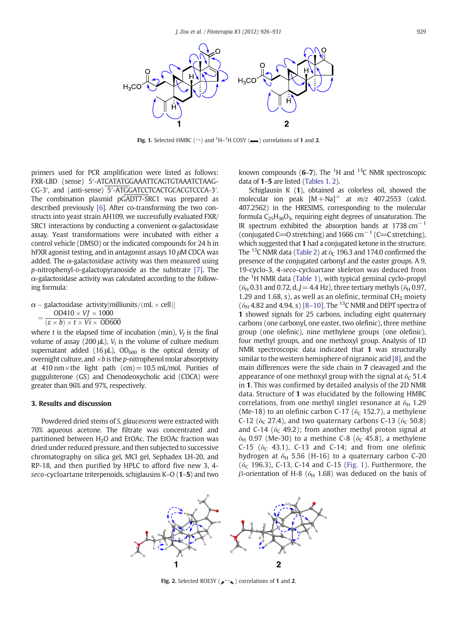<span id="page-3-0"></span>

**Fig. 1.** Selected HMBC ( $\cap$ ) and <sup>1</sup>H-<sup>1</sup>H COSY ( $\blacksquare$ ) correlations of **1** and **2**.

primers used for PCR amplification were listed as follows: FXR-LBD (sense) 5′-ATCATATGGAAATTCAGTGTAAATCTAAG-CG-3′, and (anti-sense) 5′-ATGGATCCTCACTGCACGTCCCA-3′. The combination plasmid pGADT7-SRC1 was prepared as described previously [\[6\]](#page-5-0). After co-transforming the two constructs into yeast strain AH109, we successfully evaluated FXR/ SRC1 interactions by conducting a convenient  $\alpha$ -galactosidase assay. Yeast transformations were incubated with either a control vehicle (DMSO) or the indicated compounds for 24 h in hFXR agonist testing, and in antagonist assays 10 μM CDCA was added. The  $\alpha$ -galactosidase activity was then measured using p-nitrophenyl-D-galactopyranoside as the substrate [\[7\]](#page-5-0). The  $\alpha$ -galactosidase activity was calculated according to the following formula:

 $\alpha$  – galactosidase activity [milliunits/(mL  $\times$  cell)]<br>OD410  $\times$  Vf  $\times$  1000  $=\frac{OD410\times Vf\times 1000}{(\varepsilon\times b)\times t\times Vi\times 0}$ 

where t is the elapsed time of incubation (min),  $V_f$  is the final volume of assay (200  $\mu$ ),  $V_i$  is the volume of culture medium supernatant added (16  $\mu$ L), OD<sub>600</sub> is the optical density of overnight culture, and  $\times b$  is the p-nitrophenol molar absorptivity at 410 nm  $\times$  the light path (cm) = 10.5 mL/mol. Purities of guggulsterone (GS) and Chenodeoxycholic acid (CDCA) were greater than 96% and 97%, respectively.

#### 3. Results and discussion

Powdered dried stems of S. glaucescens were extracted with 70% aqueous acetone. The filtrate was concentrated and partitioned between  $H_2O$  and EtOAc. The EtOAc fraction was dried under reduced pressure, and then subjected to successive chromatography on silica gel, MCI gel, Sephadex LH-20, and RP-18, and then purified by HPLC to afford five new 3, 4 seco-cycloartane triterpenoids, schiglausins K–O (1–5) and two

known compounds  $(6-7)$ . The <sup>1</sup>H and <sup>13</sup>C NMR spectroscopic data of 1–5 are listed [\(Tables 1, 2\)](#page-1-0).

Schiglausin K (1), obtained as colorless oil, showed the molecular ion peak  $[M+Na]^+$  at  $m/z$  407.2553 (calcd. 407.2562) in the HRESIMS, corresponding to the molecular formula  $C_{25}H_{36}O_3$ , requiring eight degrees of unsaturation. The IR spectrum exhibited the absorption bands at 1738 cm<sup>-1</sup> (conjugated C= $O$  stretching) and 1666 cm<sup> $-1$ </sup> (C= $C$  stretching), which suggested that 1 had a conjugated ketone in the structure. The <sup>13</sup>C NMR data ([Table 2](#page-2-0)) at  $\delta_c$  196.3 and 174.0 confirmed the presence of the conjugated carbonyl and the easter groups. A 9, 19-cyclo-3, 4-seco-cycloartane skeleton was deduced from the <sup>1</sup>H NMR data [\(Table 1](#page-1-0)), with typical geminal cyclo-propyl ( $\delta_H$  0.31 and 0.72, d, J = 4.4 Hz), three tertiary methyls ( $\delta_H$  0.97, 1.29 and 1.68, s), as well as an olefinic, terminal  $CH<sub>2</sub>$  moiety  $(\delta_H 4.82$  and  $4.94$ , s) [8-[10\].](#page-5-0) The <sup>13</sup>C NMR and DEPT spectra of 1 showed signals for 25 carbons, including eight quaternary carbons (one carbonyl, one easter, two olefinic), three methine group (one olefinic), nine methylene groups (one olefinic), four methyl groups, and one methoxyl group. Analysis of 1D NMR spectroscopic data indicated that 1 was structurally similar to the western hemisphere of nigranoic acid [\[8\]](#page-5-0), and the main differences were the side chain in 7 cleavaged and the appearance of one methoxyl group with the signal at  $\delta_c$  51.4 in 1. This was confirmed by detailed analysis of the 2D NMR data. Structure of 1 was elucidated by the following HMBC correlations, from one methyl singlet resonance at  $\delta_H$  1.29 (Me-18) to an olefinic carbon C-17 ( $\delta_c$  152.7), a methylene C-12 ( $\delta$ <sub>C</sub> 27.4), and two quaternary carbons C-13 ( $\delta$ <sub>C</sub> 50.8) and C-14 ( $\delta$ <sub>C</sub> 49.2); from another methyl proton signal at  $\delta_H$  0.97 (Me-30) to a methine C-8 ( $\delta_C$  45.8), a methylene C-15 ( $\delta$ <sub>C</sub> 43.1), C-13 and C-14; and from one olefinic hydrogen at  $\delta_H$  5.56 (H-16) to a quaternary carbon C-20 ( $\delta_c$  196.3), C-13, C-14 and C-15 (Fig. 1). Furthermore, the β-orientation of H-8 ( $δ$ <sub>H</sub> 1.68) was deduced on the basis of



Fig. 2. Selected ROESY ( $\mu$ <sup>-</sup>  $\rightarrow$ ) correlations of 1 and 2.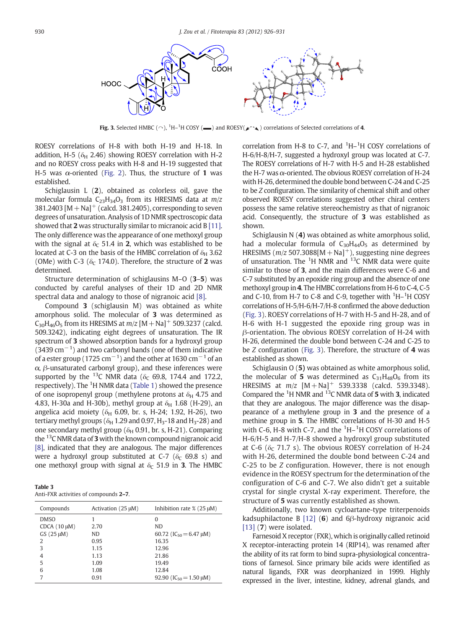<span id="page-4-0"></span>

**Fig. 3.** Selected HMBC ( $\cap$ ),  $^1$ H- $^1$ H COSY ( $\blacksquare$ ) and ROESY( $\blacktriangleright$   $\sim$   $\blacktriangle$ ) correlations of Selected correlations of 4.

ROESY correlations of H-8 with both H-19 and H-18. In addition, H-5 ( $\delta$ <sub>H</sub> 2.46) showing ROESY correlation with H-2 and no ROESY cross peaks with H-8 and H-19 suggested that H-5 was  $\alpha$ -oriented [\(Fig. 2\)](#page-3-0). Thus, the structure of 1 was established.

Schiglausin L (2), obtained as colorless oil, gave the molecular formula  $C_{23}H_{34}O_3$  from its HRESIMS data at  $m/z$ 381.2403  $[M + Na]$ <sup>+</sup> (calcd. 381.2405), corresponding to seven degrees of unsaturation. Analysis of 1D NMR spectroscopic data showed that 2 was structurally similar to micranoic acid B [\[11\].](#page-5-0) The only difference was the appearance of one methoxyl group with the signal at  $\delta_c$  51.4 in 2, which was established to be located at C-3 on the basis of the HMBC correlation of  $\delta_H$  3.62 (OMe) with C-3 ( $\delta$ <sub>C</sub> 174.0). Therefore, the structure of 2 was determined.

Structure determination of schiglausins M–O (3–5) was conducted by careful analyses of their 1D and 2D NMR spectral data and analogy to those of nigranoic acid [\[8\]](#page-5-0).

Compound 3 (schiglausin M) was obtained as white amorphous solid. The molecular of 3 was determined as  $C_{30}H_{46}O_5$  from its HRESIMS at  $m/z$  [M + Na]<sup>+</sup> 509.3237 (calcd. 509.3242), indicating eight degrees of unsaturation. The IR spectrum of 3 showed absorption bands for a hydroxyl group  $(3439 \text{ cm}^{-1})$  and two carbonyl bands (one of them indicative of a ester group (1725  $\rm cm^{-1})$  and the other at 1630  $\rm cm^{-1}$  of an α, β-unsaturated carbonyl group), and these inferences were supported by the <sup>13</sup>C NMR data ( $\delta_c$  69.8, 174.4 and 172.2, respectively). The <sup>1</sup>H NMR data [\(Table 1](#page-1-0)) showed the presence of one isopropenyl group (methylene protons at  $\delta_H$  4.75 and 4.83, H-30a and H-30b), methyl group at  $\delta_{\rm H}$  1.68 (H-29), an angelica acid moiety ( $\delta$ <sup>H</sup> 6.09, br. s, H-24; 1.92, H-26), two tertiary methyl groups ( $\delta_H$  1.29 and 0.97, H<sub>3</sub>-18 and H<sub>3</sub>-28) and one secondary methyl group ( $\delta_H$  0.91, br. s, H-21). Comparing the  $^{13}$ C NMR data of 3 with the known compound nigranoic acid [\[8\]](#page-5-0), indicated that they are analogous. The major differences were a hydroxyl group substituted at C-7 ( $\delta$ <sub>C</sub> 69.8 s) and one methoxyl group with signal at  $\delta_c$  51.9 in 3. The HMBC

| Table 3 |                                       |  |  |
|---------|---------------------------------------|--|--|
|         | Anti-FXR activities of compounds 2-7. |  |  |

| Compounds        | Activation (25 µM) | Inhibition rate $\%$ (25 $\mu$ M) |
|------------------|--------------------|-----------------------------------|
| <b>DMSO</b>      |                    | 0                                 |
| $CDCA(10 \mu M)$ | 2.70               | N <sub>D</sub>                    |
| GS (25 µM)       | ND.                | 60.72 ( $IC_{50} = 6.47 \mu M$ )  |
| $\overline{2}$   | 0.95               | 16.35                             |
| 3                | 1.15               | 12.96                             |
| $\overline{4}$   | 1.13               | 21.86                             |
| 5                | 1.09               | 19.49                             |
| 6                | 1.08               | 12.84                             |
| 7                | 0.91               | 92.90 ( $IC_{50} = 1.50 \mu M$ )  |
|                  |                    |                                   |

correlation from H-8 to C-7, and  ${}^{1}$ H- ${}^{1}$ H COSY correlations of H-6/H-8/H-7, suggested a hydroxyl group was located at C-7. The ROESY correlations of H-7 with H-5 and H-28 established the H-7 was  $\alpha$ -oriented. The obvious ROESY correlation of H-24 with H-26, determined the double bond between C-24 and C-25 to be Z configuration. The similarity of chemical shift and other observed ROESY correlations suggested other chiral centers possess the same relative stereochemistry as that of nigranoic acid. Consequently, the structure of 3 was established as shown.

Schiglausin N (4) was obtained as white amorphous solid, had a molecular formula of  $C_{30}H_{44}O_5$  as determined by HRESIMS ( $m/z$  507.3088[M + Na]<sup>+</sup>), suggesting nine degrees of unsaturation. The  ${}^{1}H$  NMR and  ${}^{13}C$  NMR data were quite similar to those of 3, and the main differences were C-6 and C-7 substituted by an epoxide ring group and the absence of one methoxyl group in 4. The HMBC correlations from H-6 to C-4, C-5 and C-10, from H-7 to C-8 and C-9, together with  ${}^{1}$ H- ${}^{1}$ H COSY correlations of H-5/H-6/H-7/H-8 confirmed the above deduction (Fig. 3). ROESY correlations of H-7 with H-5 and H-28, and of H-6 with H-1 suggested the epoxide ring group was in β-orientation. The obvious ROESY correlation of H-24 with H-26, determined the double bond between C-24 and C-25 to be Z configuration (Fig. 3). Therefore, the structure of 4 was established as shown.

Schiglausin O (5) was obtained as white amorphous solid, the molecular of 5 was determined as  $C_{31}H_{48}O_6$  from its HRESIMS at  $m/z$   $[M + Na]$ <sup>+</sup> 539.3338 (calcd. 539.3348). Compared the  ${}^{1}$ H NMR and  ${}^{13}$ C NMR data of 5 with 3, indicated that they are analogous. The major difference was the disappearance of a methylene group in 3 and the presence of a methine group in 5. The HMBC correlations of H-30 and H-5 with C-6, H-8 with C-7, and the  ${}^{1}$ H- ${}^{1}$ H COSY correlations of H-6/H-5 and H-7/H-8 showed a hydroxyl group substituted at C-6 ( $\delta$ <sub>C</sub> 71.7 s). The obvious ROESY correlation of H-24 with H-26, determined the double bond between C-24 and C-25 to be Z configuration. However, there is not enough evidence in the ROESY spectrum for the determination of the configuration of C-6 and C-7. We also didn't get a suitable crystal for single crystal X-ray experiment. Therefore, the structure of 5 was currently established as shown.

Additionally, two known cycloartane-type triterpenoids kadsuphilactone B [\[12\]](#page-5-0) (6) and 6 $\beta$ -hydroxy nigranoic acid [\[13\]](#page-5-0) (7) were isolated.

Farnesoid X receptor (FXR), which is originally called retinoid X receptor-interacting protein 14 (RIP14), was renamed after the ability of its rat form to bind supra-physiological concentrations of farnesol. Since primary bile acids were identified as natural ligands, FXR was deorphanized in 1999. Highly expressed in the liver, intestine, kidney, adrenal glands, and